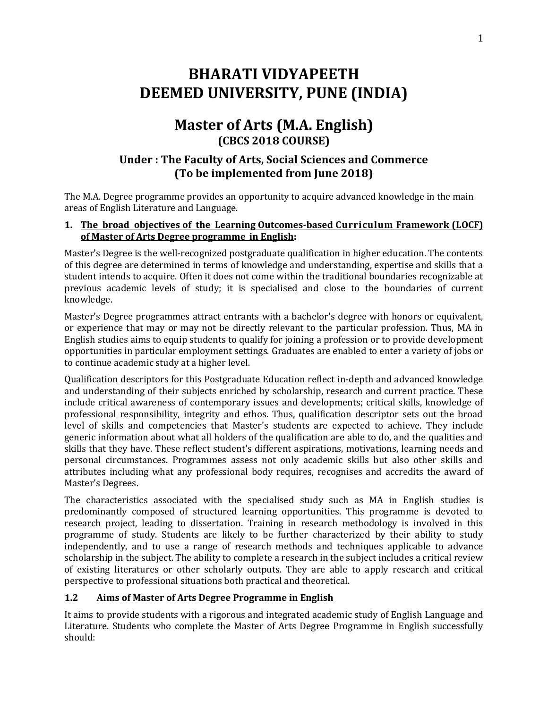# **BHARATI VIDYAPEETH DEEMED UNIVERSITY, PUNE (INDIA)**

## **Master of Arts (M.A. English) (CBCS 2018 COURSE)**

### **Under : The Faculty of Arts, Social Sciences and Commerce (To be implemented from June 2018)**

The M.A. Degree programme provides an opportunity to acquire advanced knowledge in the main areas of English Literature and Language.

#### **1. The broad objectives of the Learning Outcomes-based Curriculum Framework (LOCF) of Master of Arts Degree programme in English:**

Master's Degree is the well-recognized postgraduate qualification in higher education. The contents of this degree are determined in terms of knowledge and understanding, expertise and skills that a student intends to acquire. Often it does not come within the traditional boundaries recognizable at previous academic levels of study; it is specialised and close to the boundaries of current knowledge.

Master's Degree programmes attract entrants with a bachelor's degree with honors or equivalent, or experience that may or may not be directly relevant to the particular profession. Thus, MA in English studies aims to equip students to qualify for joining a profession or to provide development opportunities in particular employment settings. Graduates are enabled to enter a variety of jobs or to continue academic study at a higher level.

Qualification descriptors for this Postgraduate Education reflect in-depth and advanced knowledge and understanding of their subjects enriched by scholarship, research and current practice. These include critical awareness of contemporary issues and developments; critical skills, knowledge of professional responsibility, integrity and ethos. Thus, qualification descriptor sets out the broad level of skills and competencies that Master's students are expected to achieve. They include generic information about what all holders of the qualification are able to do, and the qualities and skills that they have. These reflect student's different aspirations, motivations, learning needs and personal circumstances. Programmes assess not only academic skills but also other skills and attributes including what any professional body requires, recognises and accredits the award of Master's Degrees.

The characteristics associated with the specialised study such as MA in English studies is predominantly composed of structured learning opportunities. This programme is devoted to research project, leading to dissertation. Training in research methodology is involved in this programme of study. Students are likely to be further characterized by their ability to study independently, and to use a range of research methods and techniques applicable to advance scholarship in the subject. The ability to complete a research in the subject includes a critical review of existing literatures or other scholarly outputs. They are able to apply research and critical perspective to professional situations both practical and theoretical.

### **1.2 Aims of Master of Arts Degree Programme in English**

It aims to provide students with a rigorous and integrated academic study of English Language and Literature. Students who complete the Master of Arts Degree Programme in English successfully should: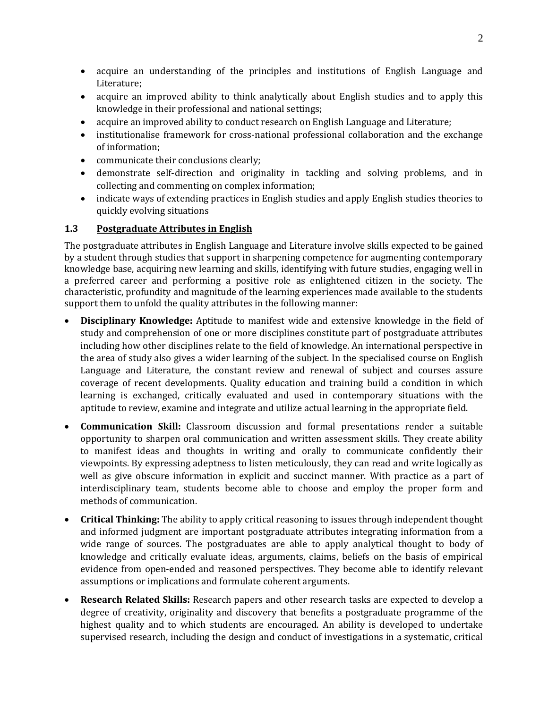- acquire an understanding of the principles and institutions of English Language and Literature;
- acquire an improved ability to think analytically about English studies and to apply this knowledge in their professional and national settings;
- acquire an improved ability to conduct research on English Language and Literature;
- institutionalise framework for cross-national professional collaboration and the exchange of information;
- communicate their conclusions clearly;
- demonstrate self-direction and originality in tackling and solving problems, and in collecting and commenting on complex information;
- indicate ways of extending practices in English studies and apply English studies theories to quickly evolving situations

### **1.3 Postgraduate Attributes in English**

The postgraduate attributes in English Language and Literature involve skills expected to be gained by a student through studies that support in sharpening competence for augmenting contemporary knowledge base, acquiring new learning and skills, identifying with future studies, engaging well in a preferred career and performing a positive role as enlightened citizen in the society. The characteristic, profundity and magnitude of the learning experiences made available to the students support them to unfold the quality attributes in the following manner:

- **Disciplinary Knowledge:** Aptitude to manifest wide and extensive knowledge in the field of study and comprehension of one or more disciplines constitute part of postgraduate attributes including how other disciplines relate to the field of knowledge. An international perspective in the area of study also gives a wider learning of the subject. In the specialised course on English Language and Literature, the constant review and renewal of subject and courses assure coverage of recent developments. Quality education and training build a condition in which learning is exchanged, critically evaluated and used in contemporary situations with the aptitude to review, examine and integrate and utilize actual learning in the appropriate field.
- **Communication Skill:** Classroom discussion and formal presentations render a suitable opportunity to sharpen oral communication and written assessment skills. They create ability to manifest ideas and thoughts in writing and orally to communicate confidently their viewpoints. By expressing adeptness to listen meticulously, they can read and write logically as well as give obscure information in explicit and succinct manner. With practice as a part of interdisciplinary team, students become able to choose and employ the proper form and methods of communication.
- **Critical Thinking:** The ability to apply critical reasoning to issues through independent thought and informed judgment are important postgraduate attributes integrating information from a wide range of sources. The postgraduates are able to apply analytical thought to body of knowledge and critically evaluate ideas, arguments, claims, beliefs on the basis of empirical evidence from open-ended and reasoned perspectives. They become able to identify relevant assumptions or implications and formulate coherent arguments.
- **Research Related Skills:** Research papers and other research tasks are expected to develop a degree of creativity, originality and discovery that benefits a postgraduate programme of the highest quality and to which students are encouraged. An ability is developed to undertake supervised research, including the design and conduct of investigations in a systematic, critical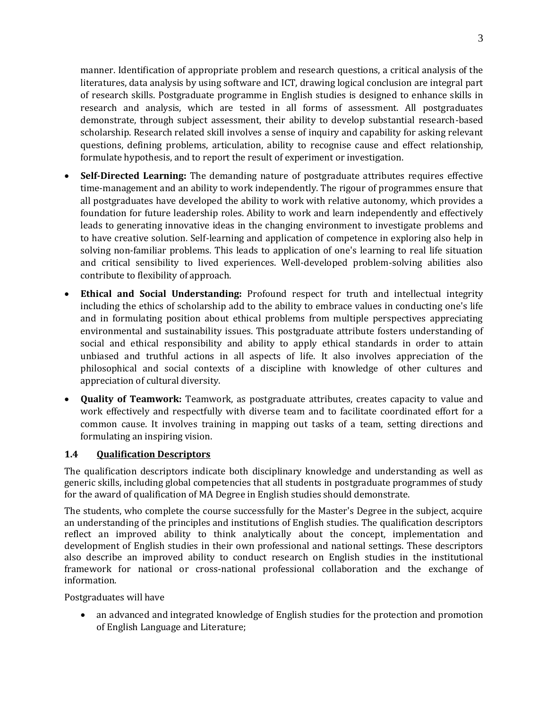manner. Identification of appropriate problem and research questions, a critical analysis of the literatures, data analysis by using software and ICT, drawing logical conclusion are integral part of research skills. Postgraduate programme in English studies is designed to enhance skills in research and analysis, which are tested in all forms of assessment. All postgraduates demonstrate, through subject assessment, their ability to develop substantial research-based scholarship. Research related skill involves a sense of inquiry and capability for asking relevant questions, defining problems, articulation, ability to recognise cause and effect relationship, formulate hypothesis, and to report the result of experiment or investigation.

- **Self-Directed Learning:** The demanding nature of postgraduate attributes requires effective time-management and an ability to work independently. The rigour of programmes ensure that all postgraduates have developed the ability to work with relative autonomy, which provides a foundation for future leadership roles. Ability to work and learn independently and effectively leads to generating innovative ideas in the changing environment to investigate problems and to have creative solution. Self-learning and application of competence in exploring also help in solving non-familiar problems. This leads to application of one's learning to real life situation and critical sensibility to lived experiences. Well-developed problem-solving abilities also contribute to flexibility of approach.
- **Ethical and Social Understanding:** Profound respect for truth and intellectual integrity including the ethics of scholarship add to the ability to embrace values in conducting one's life and in formulating position about ethical problems from multiple perspectives appreciating environmental and sustainability issues. This postgraduate attribute fosters understanding of social and ethical responsibility and ability to apply ethical standards in order to attain unbiased and truthful actions in all aspects of life. It also involves appreciation of the philosophical and social contexts of a discipline with knowledge of other cultures and appreciation of cultural diversity.
- **Quality of Teamwork:** Teamwork, as postgraduate attributes, creates capacity to value and work effectively and respectfully with diverse team and to facilitate coordinated effort for a common cause. It involves training in mapping out tasks of a team, setting directions and formulating an inspiring vision.

#### **1.4 Qualification Descriptors**

The qualification descriptors indicate both disciplinary knowledge and understanding as well as generic skills, including global competencies that all students in postgraduate programmes of study for the award of qualification of MA Degree in English studies should demonstrate.

The students, who complete the course successfully for the Master's Degree in the subject, acquire an understanding of the principles and institutions of English studies. The qualification descriptors reflect an improved ability to think analytically about the concept, implementation and development of English studies in their own professional and national settings. These descriptors also describe an improved ability to conduct research on English studies in the institutional framework for national or cross-national professional collaboration and the exchange of information.

Postgraduates will have

 an advanced and integrated knowledge of English studies for the protection and promotion of English Language and Literature;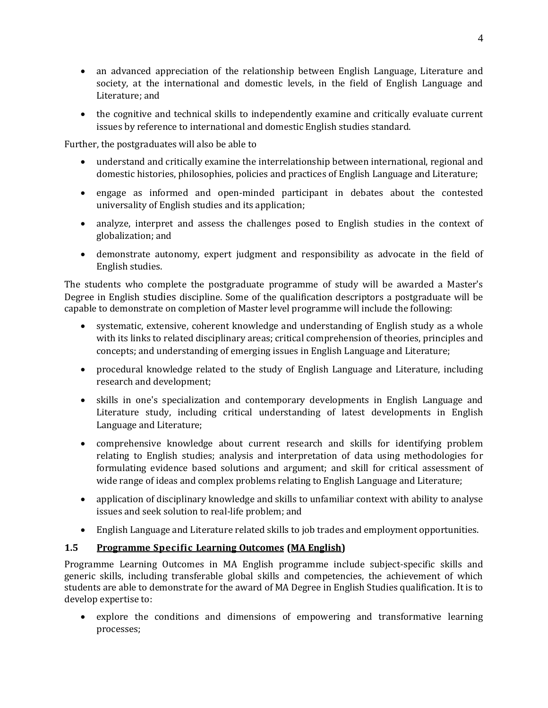- an advanced appreciation of the relationship between English Language, Literature and society, at the international and domestic levels, in the field of English Language and Literature; and
- the cognitive and technical skills to independently examine and critically evaluate current issues by reference to international and domestic English studies standard.

Further, the postgraduates will also be able to

- understand and critically examine the interrelationship between international, regional and domestic histories, philosophies, policies and practices of English Language and Literature;
- engage as informed and open-minded participant in debates about the contested universality of English studies and its application;
- analyze, interpret and assess the challenges posed to English studies in the context of globalization; and
- demonstrate autonomy, expert judgment and responsibility as advocate in the field of English studies.

The students who complete the postgraduate programme of study will be awarded a Master's Degree in English studies discipline. Some of the qualification descriptors a postgraduate will be capable to demonstrate on completion of Master level programme will include the following:

- systematic, extensive, coherent knowledge and understanding of English study as a whole with its links to related disciplinary areas; critical comprehension of theories, principles and concepts; and understanding of emerging issues in English Language and Literature;
- procedural knowledge related to the study of English Language and Literature, including research and development;
- skills in one's specialization and contemporary developments in English Language and Literature study, including critical understanding of latest developments in English Language and Literature;
- comprehensive knowledge about current research and skills for identifying problem relating to English studies; analysis and interpretation of data using methodologies for formulating evidence based solutions and argument; and skill for critical assessment of wide range of ideas and complex problems relating to English Language and Literature;
- application of disciplinary knowledge and skills to unfamiliar context with ability to analyse issues and seek solution to real-life problem; and
- English Language and Literature related skills to job trades and employment opportunities.

### **1.5 Programme Specific Learning Outcomes (MA English)**

Programme Learning Outcomes in MA English programme include subject-specific skills and generic skills, including transferable global skills and competencies, the achievement of which students are able to demonstrate for the award of MA Degree in English Studies qualification. It is to develop expertise to:

 explore the conditions and dimensions of empowering and transformative learning processes;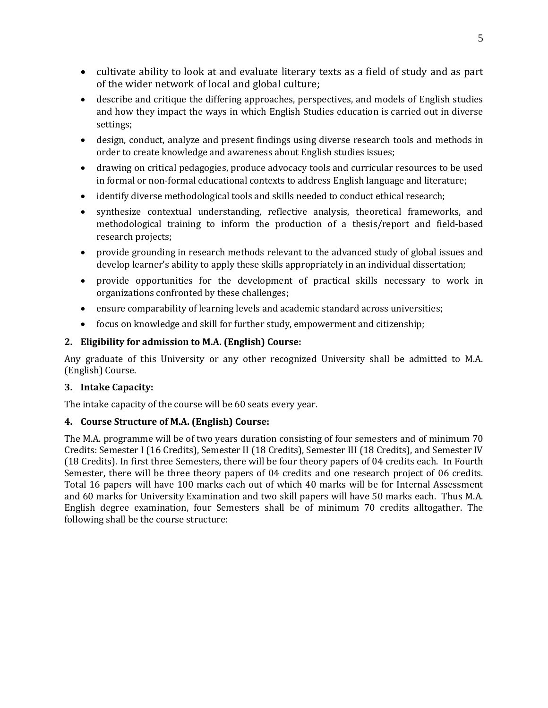- cultivate ability to look at and evaluate literary texts as a field of study and as part of the wider network of local and global culture;
- describe and critique the differing approaches, perspectives, and models of English studies and how they impact the ways in which English Studies education is carried out in diverse settings;
- design, conduct, analyze and present findings using diverse research tools and methods in order to create knowledge and awareness about English studies issues;
- drawing on critical pedagogies, produce advocacy tools and curricular resources to be used in formal or non-formal educational contexts to address English language and literature;
- identify diverse methodological tools and skills needed to conduct ethical research;
- synthesize contextual understanding, reflective analysis, theoretical frameworks, and methodological training to inform the production of a thesis/report and field-based research projects;
- provide grounding in research methods relevant to the advanced study of global issues and develop learner's ability to apply these skills appropriately in an individual dissertation;
- provide opportunities for the development of practical skills necessary to work in organizations confronted by these challenges;
- ensure comparability of learning levels and academic standard across universities;
- focus on knowledge and skill for further study, empowerment and citizenship;

### **2. Eligibility for admission to M.A. (English) Course:**

Any graduate of this University or any other recognized University shall be admitted to M.A. (English) Course.

### **3. Intake Capacity:**

The intake capacity of the course will be 60 seats every year.

### **4. Course Structure of M.A. (English) Course:**

The M.A. programme will be of two years duration consisting of four semesters and of minimum 70 Credits: Semester I (16 Credits), Semester II (18 Credits), Semester III (18 Credits), and Semester IV (18 Credits). In first three Semesters, there will be four theory papers of 04 credits each. In Fourth Semester, there will be three theory papers of 04 credits and one research project of 06 credits. Total 16 papers will have 100 marks each out of which 40 marks will be for Internal Assessment and 60 marks for University Examination and two skill papers will have 50 marks each. Thus M.A. English degree examination, four Semesters shall be of minimum 70 credits alltogather. The following shall be the course structure: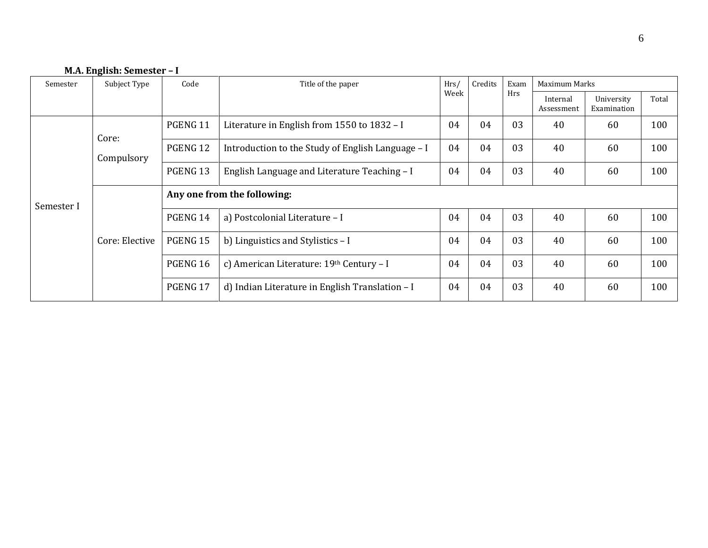### **M.A. English: Semester – I**

| Semester   | Subject Type        | Code<br>Title of the paper  |                                                   | Hrs/       | Credits                | Exam                      | Maximum Marks |    |     |  |  |
|------------|---------------------|-----------------------------|---------------------------------------------------|------------|------------------------|---------------------------|---------------|----|-----|--|--|
|            |                     | Week                        |                                                   | <b>Hrs</b> | Internal<br>Assessment | University<br>Examination | Total         |    |     |  |  |
|            | Core:<br>Compulsory | PGENG 11                    | Literature in English from 1550 to 1832 - I       |            | 04                     | 03                        | 40            | 60 | 100 |  |  |
|            |                     | PGENG 12                    | Introduction to the Study of English Language - I | 04         | 04                     | 03                        | 40            | 60 | 100 |  |  |
|            |                     | PGENG 13                    | English Language and Literature Teaching - I      |            | 04                     | 03                        | 40            | 60 | 100 |  |  |
| Semester I | Core: Elective      | Any one from the following: |                                                   |            |                        |                           |               |    |     |  |  |
|            |                     | PGENG 14                    | a) Postcolonial Literature - I                    | 04         | 04                     | 03                        | 40            | 60 | 100 |  |  |
|            |                     | PGENG 15                    | b) Linguistics and Stylistics - I                 | 04         | 04                     | 03                        | 40            | 60 | 100 |  |  |
|            |                     | PGENG 16                    | c) American Literature: 19th Century - I          | 04         | 04                     | 03                        | 40            | 60 | 100 |  |  |
|            |                     | PGENG 17                    | d) Indian Literature in English Translation $-I$  | 04         | 04                     | 03                        | 40            | 60 | 100 |  |  |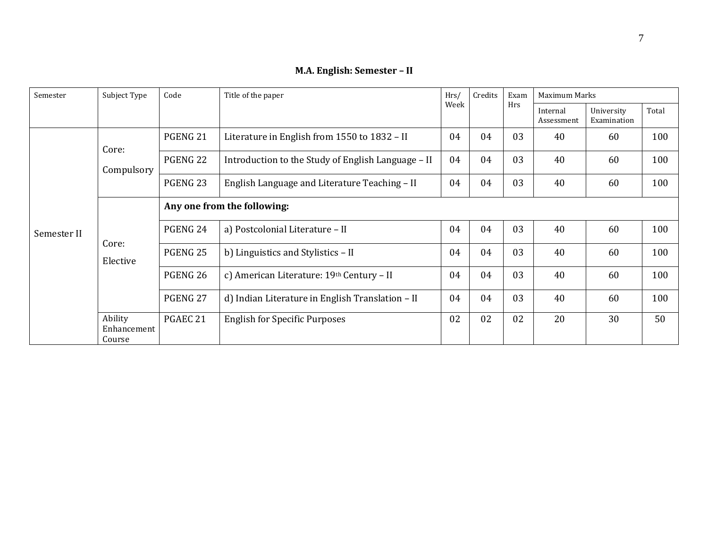| Semester    | Subject Type                     | Code                        | Title of the paper                                 | Hrs/ | Credits | Exam | Maximum Marks          |                           |       |  |  |
|-------------|----------------------------------|-----------------------------|----------------------------------------------------|------|---------|------|------------------------|---------------------------|-------|--|--|
|             |                                  |                             |                                                    | Week |         | Hrs  | Internal<br>Assessment | University<br>Examination | Total |  |  |
|             | Core:                            | PGENG 21                    | Literature in English from 1550 to 1832 - II       |      | 04      | 03   | 40                     | 60                        | 100   |  |  |
|             | Compulsory                       | PGENG <sub>22</sub>         | Introduction to the Study of English Language – II |      | 04      | 03   | 40                     | 60                        | 100   |  |  |
|             |                                  | PGENG <sub>23</sub>         | English Language and Literature Teaching - II      |      | 04      | 03   | 40                     | 60                        | 100   |  |  |
|             |                                  | Any one from the following: |                                                    |      |         |      |                        |                           |       |  |  |
| Semester II |                                  | PGENG 24                    | a) Postcolonial Literature - II                    | 04   | 04      | 03   | 40                     | 60                        | 100   |  |  |
|             | Core:<br>Elective                | PGENG <sub>25</sub>         | b) Linguistics and Stylistics - II                 |      | 04      | 03   | 40                     | 60                        | 100   |  |  |
|             |                                  | PGENG 26                    | c) American Literature: 19th Century - II          | 04   | 04      | 03   | 40                     | 60                        | 100   |  |  |
|             |                                  | PGENG 27                    | d) Indian Literature in English Translation - II   | 04   | 04      | 03   | 40                     | 60                        | 100   |  |  |
|             | Ability<br>Enhancement<br>Course | PGAEC 21                    | <b>English for Specific Purposes</b>               |      | 02      | 02   | 20                     | 30                        | 50    |  |  |

### **M.A. English: Semester – II**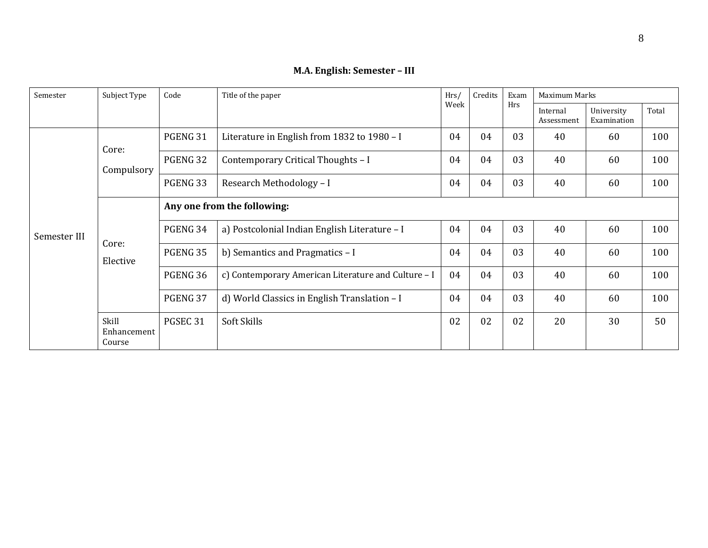| Semester     | Subject Type                   | Code                        | Title of the paper                                  |      | Credits | Exam | Maximum Marks          |                           |       |  |
|--------------|--------------------------------|-----------------------------|-----------------------------------------------------|------|---------|------|------------------------|---------------------------|-------|--|
|              |                                |                             |                                                     | Week |         | Hrs  | Internal<br>Assessment | University<br>Examination | Total |  |
|              | Core:                          | PGENG 31                    | Literature in English from 1832 to 1980 - I         |      | 04      | 03   | 40                     | 60                        | 100   |  |
|              | Compulsory                     | PGENG 32                    | Contemporary Critical Thoughts - I                  |      | 04      | 03   | 40                     | 60                        | 100   |  |
|              |                                | PGENG 33                    | Research Methodology - I                            |      | 04      | 03   | 40                     | 60                        | 100   |  |
|              |                                | Any one from the following: |                                                     |      |         |      |                        |                           |       |  |
| Semester III |                                | PGENG 34                    | a) Postcolonial Indian English Literature - I       | 04   | 04      | 03   | 40                     | 60                        | 100   |  |
|              | Core:<br>Elective              | PGENG 35                    | b) Semantics and Pragmatics - I                     |      | 04      | 03   | 40                     | 60                        | 100   |  |
|              |                                | PGENG 36                    | c) Contemporary American Literature and Culture - I |      | 04      | 03   | 40                     | 60                        | 100   |  |
|              |                                | PGENG 37                    | d) World Classics in English Translation - I        | 04   | 04      | 03   | 40                     | 60                        | 100   |  |
|              | Skill<br>Enhancement<br>Course | PGSEC 31                    | Soft Skills                                         | 02   | 02      | 02   | 20                     | 30                        | 50    |  |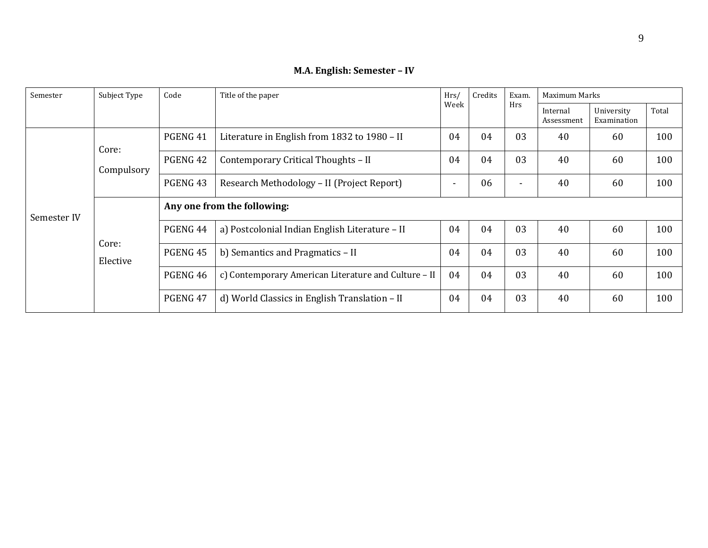| Semester    | Subject Type      | Code                        | Title of the paper                                   |      | Credits | Exam.          | Maximum Marks          |                           |       |  |  |
|-------------|-------------------|-----------------------------|------------------------------------------------------|------|---------|----------------|------------------------|---------------------------|-------|--|--|
|             |                   |                             |                                                      | Week |         | <b>Hrs</b>     | Internal<br>Assessment | University<br>Examination | Total |  |  |
|             | Core:             | PGENG 41                    | Literature in English from 1832 to 1980 - II         |      | 04      | 03             | 40                     | 60                        | 100   |  |  |
|             | Compulsory        | PGENG 42                    | Contemporary Critical Thoughts - II                  |      | 04      | 03             | 40                     | 60                        | 100   |  |  |
|             |                   | PGENG 43                    | Research Methodology - II (Project Report)           |      | 06      | $\blacksquare$ | 40                     | 60                        | 100   |  |  |
| Semester IV | Core:<br>Elective | Any one from the following: |                                                      |      |         |                |                        |                           |       |  |  |
|             |                   | PGENG 44                    | a) Postcolonial Indian English Literature - II       | 04   | 04      | 03             | 40                     | 60                        | 100   |  |  |
|             |                   | PGENG 45                    | b) Semantics and Pragmatics - II                     | 04   | 04      | 03             | 40                     | 60                        | 100   |  |  |
|             |                   | PGENG 46                    | c) Contemporary American Literature and Culture - II |      | 04      | 03             | 40                     | 60                        | 100   |  |  |
|             |                   | PGENG 47                    | d) World Classics in English Translation - II        | 04   | 04      | 03             | 40                     | 60                        | 100   |  |  |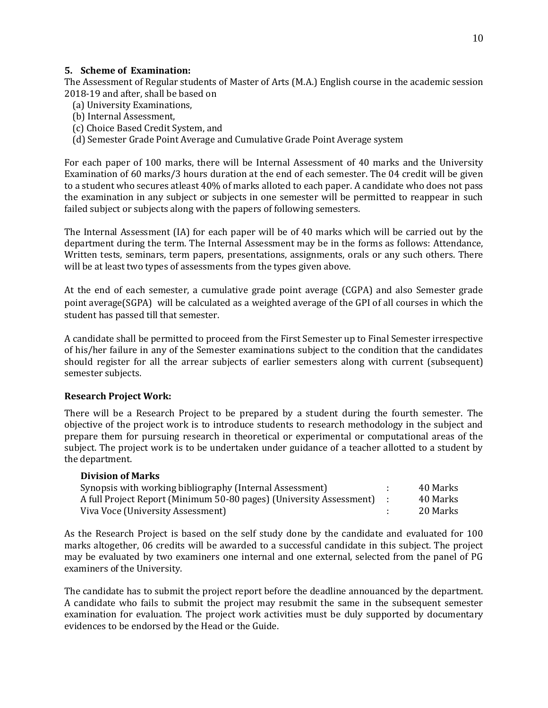#### **5. Scheme of Examination:**

The Assessment of Regular students of Master of Arts (M.A.) English course in the academic session 2018-19 and after, shall be based on

- (a) University Examinations,
- (b) Internal Assessment,
- (c) Choice Based Credit System, and
- (d) Semester Grade Point Average and Cumulative Grade Point Average system

For each paper of 100 marks, there will be Internal Assessment of 40 marks and the University Examination of 60 marks/3 hours duration at the end of each semester. The 04 credit will be given to a student who secures atleast 40% of marks alloted to each paper. A candidate who does not pass the examination in any subject or subjects in one semester will be permitted to reappear in such failed subject or subjects along with the papers of following semesters.

The Internal Assessment (IA) for each paper will be of 40 marks which will be carried out by the department during the term. The Internal Assessment may be in the forms as follows: Attendance, Written tests, seminars, term papers, presentations, assignments, orals or any such others. There will be at least two types of assessments from the types given above.

At the end of each semester, a cumulative grade point average (CGPA) and also Semester grade point average(SGPA) will be calculated as a weighted average of the GPI of all courses in which the student has passed till that semester.

A candidate shall be permitted to proceed from the First Semester up to Final Semester irrespective of his/her failure in any of the Semester examinations subject to the condition that the candidates should register for all the arrear subjects of earlier semesters along with current (subsequent) semester subjects.

#### **Research Project Work:**

There will be a Research Project to be prepared by a student during the fourth semester. The objective of the project work is to introduce students to research methodology in the subject and prepare them for pursuing research in theoretical or experimental or computational areas of the subject. The project work is to be undertaken under guidance of a teacher allotted to a student by the department.

#### **Division of Marks**

| Synopsis with working bibliography (Internal Assessment)              | 40 Marks |
|-----------------------------------------------------------------------|----------|
| A full Project Report (Minimum 50-80 pages) (University Assessment) : | 40 Marks |
| Viva Voce (University Assessment)                                     | 20 Marks |

As the Research Project is based on the self study done by the candidate and evaluated for 100 marks altogether, 06 credits will be awarded to a successful candidate in this subject. The project may be evaluated by two examiners one internal and one external, selected from the panel of PG examiners of the University.

The candidate has to submit the project report before the deadline annouanced by the department. A candidate who fails to submit the project may resubmit the same in the subsequent semester examination for evaluation. The project work activities must be duly supported by documentary evidences to be endorsed by the Head or the Guide.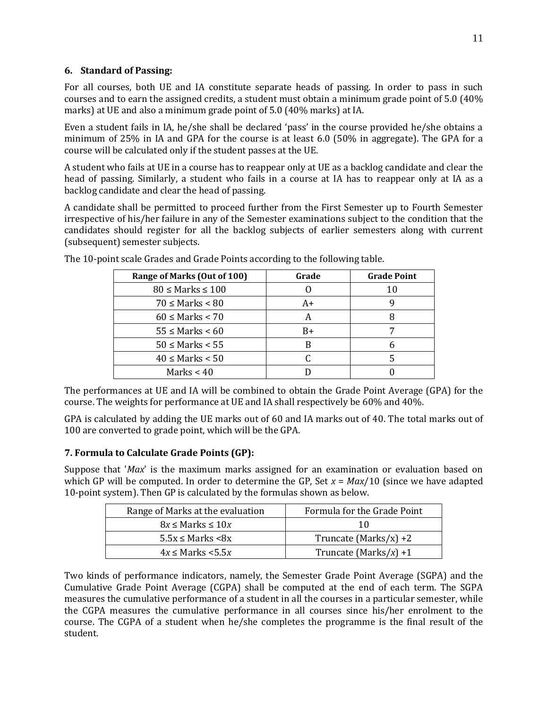#### **6. Standard of Passing:**

For all courses, both UE and IA constitute separate heads of passing. In order to pass in such courses and to earn the assigned credits, a student must obtain a minimum grade point of 5.0 (40% marks) at UE and also a minimum grade point of 5.0 (40% marks) at IA.

Even a student fails in IA, he/she shall be declared 'pass' in the course provided he/she obtains a minimum of 25% in IA and GPA for the course is at least 6.0 (50% in aggregate). The GPA for a course will be calculated only if the student passes at the UE.

A student who fails at UE in a course has to reappear only at UE as a backlog candidate and clear the head of passing. Similarly, a student who fails in a course at IA has to reappear only at IA as a backlog candidate and clear the head of passing.

A candidate shall be permitted to proceed further from the First Semester up to Fourth Semester irrespective of his/her failure in any of the Semester examinations subject to the condition that the candidates should register for all the backlog subjects of earlier semesters along with current (subsequent) semester subjects.

| Range of Marks (Out of 100) | Grade | <b>Grade Point</b> |
|-----------------------------|-------|--------------------|
| $80 \leq$ Marks $\leq 100$  |       | 10                 |
| $70 \leq$ Marks $< 80$      | A+    |                    |
| $60 \leq$ Marks < 70        |       |                    |
| $55 \leq$ Marks < 60        | B+    |                    |
| $50 \leq$ Marks $\leq 55$   |       |                    |
| $40 \leq$ Marks $< 50$      |       |                    |
| Marks $< 40$                |       |                    |

The 10-point scale Grades and Grade Points according to the following table.

The performances at UE and IA will be combined to obtain the Grade Point Average (GPA) for the course. The weights for performance at UE and IA shall respectively be 60% and 40%.

GPA is calculated by adding the UE marks out of 60 and IA marks out of 40. The total marks out of 100 are converted to grade point, which will be the GPA.

### **7. Formula to Calculate Grade Points (GP):**

Suppose that '*Max*' is the maximum marks assigned for an examination or evaluation based on which GP will be computed. In order to determine the GP, Set *x* = *Max*/10 (since we have adapted 10-point system). Then GP is calculated by the formulas shown as below.

| Range of Marks at the evaluation | Formula for the Grade Point |
|----------------------------------|-----------------------------|
| $8x \leq$ Marks $\leq 10x$       | 10                          |
| $5.5x \leq$ Marks $\leq 8x$      | Truncate (Marks/x) +2       |
| $4x \leq$ Marks $\lt 5.5x$       | Truncate (Marks/x) +1       |

Two kinds of performance indicators, namely, the Semester Grade Point Average (SGPA) and the Cumulative Grade Point Average (CGPA) shall be computed at the end of each term. The SGPA measures the cumulative performance of a student in all the courses in a particular semester, while the CGPA measures the cumulative performance in all courses since his/her enrolment to the course. The CGPA of a student when he/she completes the programme is the final result of the student.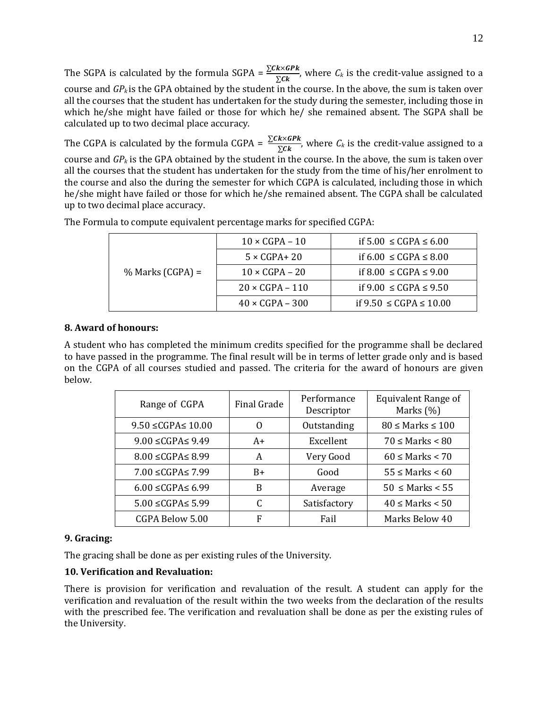The SGPA is calculated by the formula SGPA =  $\frac{\sum Ck \times GPk}{\sum Ck}$ , where  $C_k$  is the credit-value assigned to a course and *GPk* is the GPA obtained by the student in the course. In the above, the sum is taken over all the courses that the student has undertaken for the study during the semester, including those in which he/she might have failed or those for which he/ she remained absent. The SGPA shall be calculated up to two decimal place accuracy.

The CGPA is calculated by the formula CGPA =  $\frac{\Sigma}{\Sigma}$  $\frac{k \times dF_k}{\sum c_k}$ , where  $C_k$  is the credit-value assigned to a course and *GP<sup>k</sup>* is the GPA obtained by the student in the course. In the above, the sum is taken over all the courses that the student has undertaken for the study from the time of his/her enrolment to the course and also the during the semester for which CGPA is calculated, including those in which he/she might have failed or those for which he/she remained absent. The CGPA shall be calculated up to two decimal place accuracy.

| $%$ Marks (CGPA) = | $10 \times CGPA - 10$  | if $5.00 \leq CGPA \leq 6.00$  |
|--------------------|------------------------|--------------------------------|
|                    | $5 \times CGPA + 20$   | if 6.00 ≤ CGPA ≤ 8.00          |
|                    | $10 \times CGPA - 20$  | if 8.00 ≤ CGPA ≤ 9.00          |
|                    | $20 \times CGPA - 110$ | if 9.00 ≤ CGPA ≤ 9.50          |
|                    | $40 \times CGPA - 300$ | if $9.50 \leq CGPA \leq 10.00$ |

The Formula to compute equivalent percentage marks for specified CGPA:

#### **8. Award of honours:**

A student who has completed the minimum credits specified for the programme shall be declared to have passed in the programme. The final result will be in terms of letter grade only and is based on the CGPA of all courses studied and passed. The criteria for the award of honours are given below.

| Range of CGPA               | Final Grade | Performance<br>Descriptor | <b>Equivalent Range of</b><br>Marks (%) |
|-----------------------------|-------------|---------------------------|-----------------------------------------|
| $9.50 \leq CGPA \leq 10.00$ | O           | Outstanding               | $80 \leq$ Marks $\leq 100$              |
| $9.00 \leq CGPA \leq 9.49$  | $A+$        | Excellent                 | $70 \leq$ Marks $\leq 80$               |
| $8.00 \leq CGPA \leq 8.99$  | A           | Very Good                 | $60 \leq$ Marks $< 70$                  |
| $7.00 \leq CGPA \leq 7.99$  | $B+$        | Good                      | $55 \leq$ Marks $\leq 60$               |
| $6.00 \leq CGPA \leq 6.99$  | B           | Average                   | $50 \leq$ Marks $\lt$ 55                |
| $5.00 \leq CGPA \leq 5.99$  | C           | Satisfactory              | $40 \leq$ Marks $< 50$                  |
| CGPA Below 5.00             | F           | Fail                      | Marks Below 40                          |

#### **9. Gracing:**

The gracing shall be done as per existing rules of the University.

#### **10. Verification and Revaluation:**

There is provision for verification and revaluation of the result. A student can apply for the verification and revaluation of the result within the two weeks from the declaration of the results with the prescribed fee. The verification and revaluation shall be done as per the existing rules of the University.